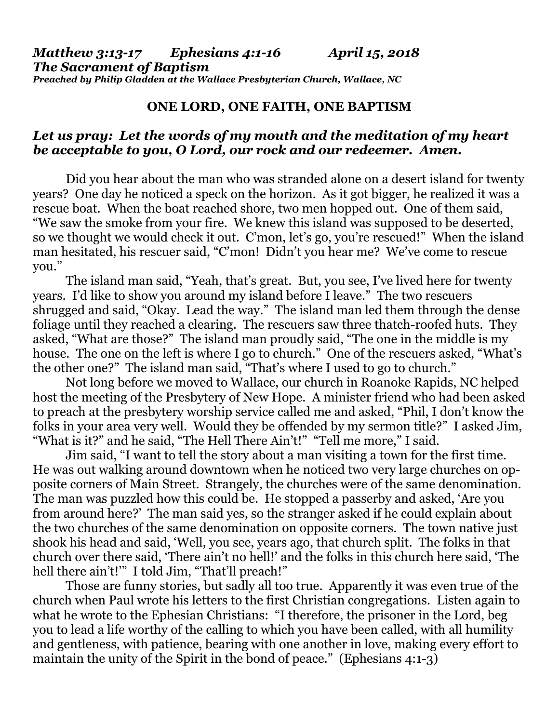## **ONE LORD, ONE FAITH, ONE BAPTISM**

## *Let us pray: Let the words of my mouth and the meditation of my heart be acceptable to you, O Lord, our rock and our redeemer. Amen.*

Did you hear about the man who was stranded alone on a desert island for twenty years? One day he noticed a speck on the horizon. As it got bigger, he realized it was a rescue boat. When the boat reached shore, two men hopped out. One of them said, "We saw the smoke from your fire. We knew this island was supposed to be deserted, so we thought we would check it out. C'mon, let's go, you're rescued!" When the island man hesitated, his rescuer said, "C'mon! Didn't you hear me? We've come to rescue you."

The island man said, "Yeah, that's great. But, you see, I've lived here for twenty years. I'd like to show you around my island before I leave." The two rescuers shrugged and said, "Okay. Lead the way." The island man led them through the dense foliage until they reached a clearing. The rescuers saw three thatch-roofed huts. They asked, "What are those?" The island man proudly said, "The one in the middle is my house. The one on the left is where I go to church." One of the rescuers asked, "What's the other one?" The island man said, "That's where I used to go to church."

Not long before we moved to Wallace, our church in Roanoke Rapids, NC helped host the meeting of the Presbytery of New Hope. A minister friend who had been asked to preach at the presbytery worship service called me and asked, "Phil, I don't know the folks in your area very well. Would they be offended by my sermon title?" I asked Jim, "What is it?" and he said, "The Hell There Ain't!" "Tell me more," I said.

Jim said, "I want to tell the story about a man visiting a town for the first time. He was out walking around downtown when he noticed two very large churches on opposite corners of Main Street. Strangely, the churches were of the same denomination. The man was puzzled how this could be. He stopped a passerby and asked, 'Are you from around here?' The man said yes, so the stranger asked if he could explain about the two churches of the same denomination on opposite corners. The town native just shook his head and said, 'Well, you see, years ago, that church split. The folks in that church over there said, 'There ain't no hell!' and the folks in this church here said, 'The hell there ain't!" I told Jim, "That'll preach!"

Those are funny stories, but sadly all too true. Apparently it was even true of the church when Paul wrote his letters to the first Christian congregations. Listen again to what he wrote to the Ephesian Christians: "I therefore, the prisoner in the Lord, beg you to lead a life worthy of the calling to which you have been called, with all humility and gentleness, with patience, bearing with one another in love, making every effort to maintain the unity of the Spirit in the bond of peace." (Ephesians 4:1-3)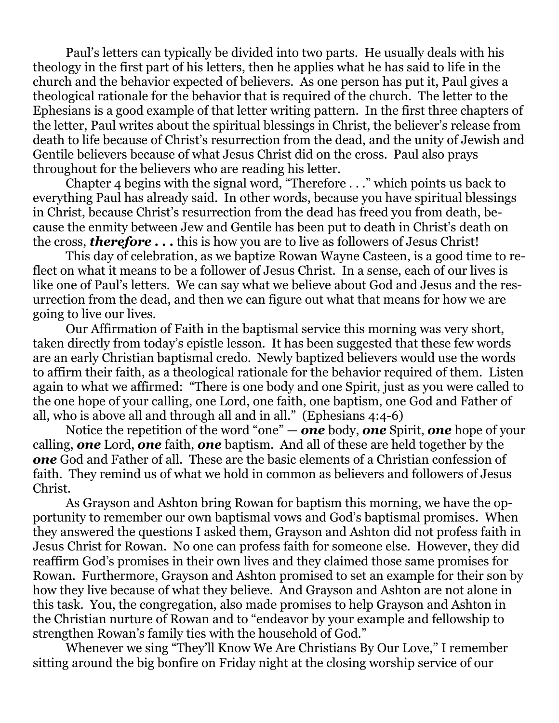Paul's letters can typically be divided into two parts. He usually deals with his theology in the first part of his letters, then he applies what he has said to life in the church and the behavior expected of believers. As one person has put it, Paul gives a theological rationale for the behavior that is required of the church. The letter to the Ephesians is a good example of that letter writing pattern. In the first three chapters of the letter, Paul writes about the spiritual blessings in Christ, the believer's release from death to life because of Christ's resurrection from the dead, and the unity of Jewish and Gentile believers because of what Jesus Christ did on the cross. Paul also prays throughout for the believers who are reading his letter.

Chapter 4 begins with the signal word, "Therefore . . ." which points us back to everything Paul has already said. In other words, because you have spiritual blessings in Christ, because Christ's resurrection from the dead has freed you from death, because the enmity between Jew and Gentile has been put to death in Christ's death on the cross, *therefore . . .* this is how you are to live as followers of Jesus Christ!

This day of celebration, as we baptize Rowan Wayne Casteen, is a good time to reflect on what it means to be a follower of Jesus Christ. In a sense, each of our lives is like one of Paul's letters. We can say what we believe about God and Jesus and the resurrection from the dead, and then we can figure out what that means for how we are going to live our lives.

Our Affirmation of Faith in the baptismal service this morning was very short, taken directly from today's epistle lesson. It has been suggested that these few words are an early Christian baptismal credo. Newly baptized believers would use the words to affirm their faith, as a theological rationale for the behavior required of them. Listen again to what we affirmed: "There is one body and one Spirit, just as you were called to the one hope of your calling, one Lord, one faith, one baptism, one God and Father of all, who is above all and through all and in all." (Ephesians 4:4-6)

Notice the repetition of the word "one" — *one* body, *one* Spirit, *one* hope of your calling, *one* Lord, *one* faith, *one* baptism. And all of these are held together by the *one* God and Father of all. These are the basic elements of a Christian confession of faith. They remind us of what we hold in common as believers and followers of Jesus Christ.

As Grayson and Ashton bring Rowan for baptism this morning, we have the opportunity to remember our own baptismal vows and God's baptismal promises. When they answered the questions I asked them, Grayson and Ashton did not profess faith in Jesus Christ for Rowan. No one can profess faith for someone else. However, they did reaffirm God's promises in their own lives and they claimed those same promises for Rowan. Furthermore, Grayson and Ashton promised to set an example for their son by how they live because of what they believe. And Grayson and Ashton are not alone in this task. You, the congregation, also made promises to help Grayson and Ashton in the Christian nurture of Rowan and to "endeavor by your example and fellowship to strengthen Rowan's family ties with the household of God."

Whenever we sing "They'll Know We Are Christians By Our Love," I remember sitting around the big bonfire on Friday night at the closing worship service of our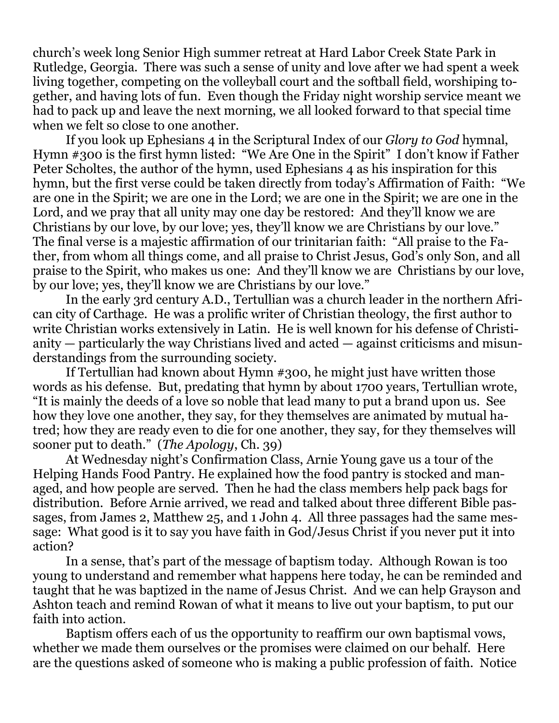church's week long Senior High summer retreat at Hard Labor Creek State Park in Rutledge, Georgia. There was such a sense of unity and love after we had spent a week living together, competing on the volleyball court and the softball field, worshiping together, and having lots of fun. Even though the Friday night worship service meant we had to pack up and leave the next morning, we all looked forward to that special time when we felt so close to one another.

If you look up Ephesians 4 in the Scriptural Index of our *Glory to God* hymnal, Hymn #300 is the first hymn listed: "We Are One in the Spirit" I don't know if Father Peter Scholtes, the author of the hymn, used Ephesians 4 as his inspiration for this hymn, but the first verse could be taken directly from today's Affirmation of Faith: "We are one in the Spirit; we are one in the Lord; we are one in the Spirit; we are one in the Lord, and we pray that all unity may one day be restored: And they'll know we are Christians by our love, by our love; yes, they'll know we are Christians by our love." The final verse is a majestic affirmation of our trinitarian faith: "All praise to the Father, from whom all things come, and all praise to Christ Jesus, God's only Son, and all praise to the Spirit, who makes us one: And they'll know we are Christians by our love, by our love; yes, they'll know we are Christians by our love."

In the early 3rd century A.D., Tertullian was a church leader in the northern African city of Carthage. He was a prolific writer of Christian theology, the first author to write Christian works extensively in Latin. He is well known for his defense of Christianity — particularly the way Christians lived and acted — against criticisms and misunderstandings from the surrounding society.

If Tertullian had known about Hymn #300, he might just have written those words as his defense. But, predating that hymn by about 1700 years, Tertullian wrote, "It is mainly the deeds of a love so noble that lead many to put a brand upon us. See how they love one another, they say, for they themselves are animated by mutual hatred; how they are ready even to die for one another, they say, for they themselves will sooner put to death." (*The Apology*, Ch. 39)

At Wednesday night's Confirmation Class, Arnie Young gave us a tour of the Helping Hands Food Pantry. He explained how the food pantry is stocked and managed, and how people are served. Then he had the class members help pack bags for distribution. Before Arnie arrived, we read and talked about three different Bible passages, from James 2, Matthew 25, and 1 John 4. All three passages had the same message: What good is it to say you have faith in God/Jesus Christ if you never put it into action?

In a sense, that's part of the message of baptism today. Although Rowan is too young to understand and remember what happens here today, he can be reminded and taught that he was baptized in the name of Jesus Christ. And we can help Grayson and Ashton teach and remind Rowan of what it means to live out your baptism, to put our faith into action.

Baptism offers each of us the opportunity to reaffirm our own baptismal vows, whether we made them ourselves or the promises were claimed on our behalf. Here are the questions asked of someone who is making a public profession of faith. Notice